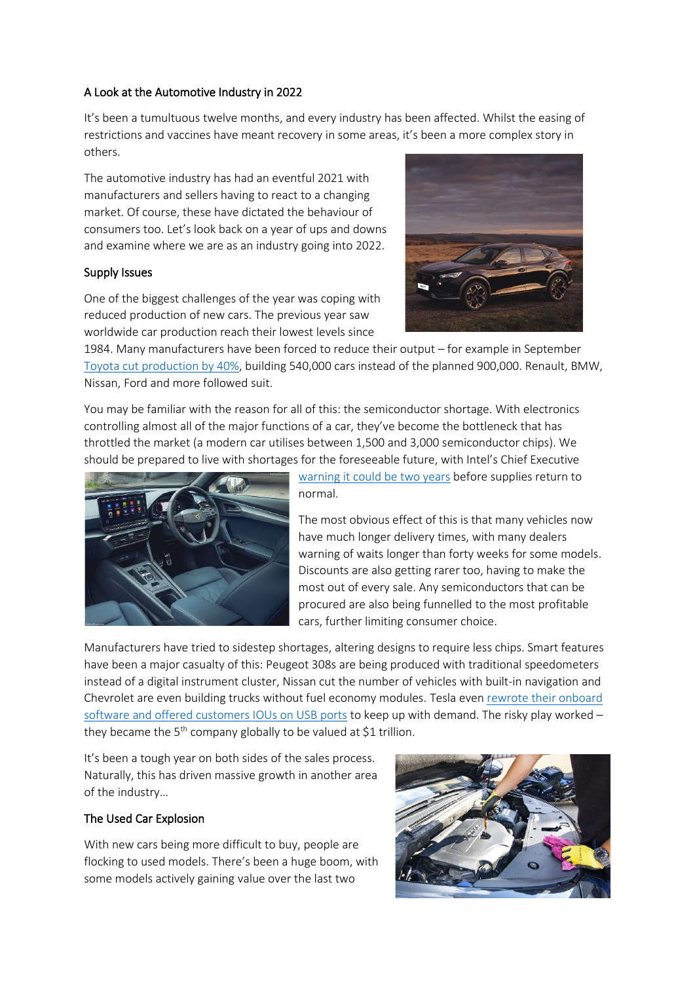# A Look at the Automotive Industry in 2022

It's been a tumultuous twelve months, and every industry has been affected. Whilst the easing of restrictions and vaccines have meant recovery in some areas, it's been a more complex story in others.

The automotive industry has had an eventful 2021 with manufacturers and sellers having to react to a changing market. Of course, these have dictated the behaviour of consumers too. Let's look back on a year of ups and downs and examine where we are as an industry going into 2022.

### Supply Issues

One of the biggest challenges of the year was coping with reduced production of new cars. The previous year saw worldwide car production reach their lowest levels since



1984. Many manufacturers have been forced to reduce their output – for example in September Toyota [cut production by 40%,](https://www.bbc.co.uk/news/business-58266794) building 540,000 cars instead of the planned 900,000. Renault, BMW, Nissan, Ford and more followed suit.

You may be familiar with the reason for all of this: the semiconductor shortage. With electronics controlling almost all of the major functions of a car, they've become the bottleneck that has throttled the market (a modern car utilises between 1,500 and 3,000 semiconductor chips). We should be prepared to live with shortages for the foreseeable future, with Intel's Chief Executive



[warning it could be two years](https://www.bbc.co.uk/news/technology-57996908) before supplies return to normal.

The most obvious effect of this is that many vehicles now have much longer delivery times, with many dealers warning of waits longer than forty weeks for some models. Discounts are also getting rarer too, having to make the most out of every sale. Any semiconductors that can be procured are also being funnelled to the most profitable cars, further limiting consumer choice.

Manufacturers have tried to sidestep shortages, altering designs to require less chips. Smart features have been a major casualty of this: Peugeot 308s are being produced with traditional speedometers instead of a digital instrument cluster, Nissan cut the number of vehicles with built-in navigation and Chevrolet are even building trucks without fuel economy modules. Tesla even [rewrote their onboard](https://economictimes.indiatimes.com/small-biz/trade/exports/insights/how-tesla-weathered-global-supply-chain-issues-that-knocked-rivals/articleshow/88747864.cms)  software [and offered customers IOUs on USB ports](https://economictimes.indiatimes.com/small-biz/trade/exports/insights/how-tesla-weathered-global-supply-chain-issues-that-knocked-rivals/articleshow/88747864.cms) to keep up with demand. The risky play worked – they became the  $5<sup>th</sup>$  company globally to be valued at \$1 trillion.

It's been a tough year on both sides of the sales process. Naturally, this has driven massive growth in another area of the industry…

# The Used Car Explosion

With new cars being more difficult to buy, people are flocking to used models. There's been a huge boom, with some models actively gaining value over the last two

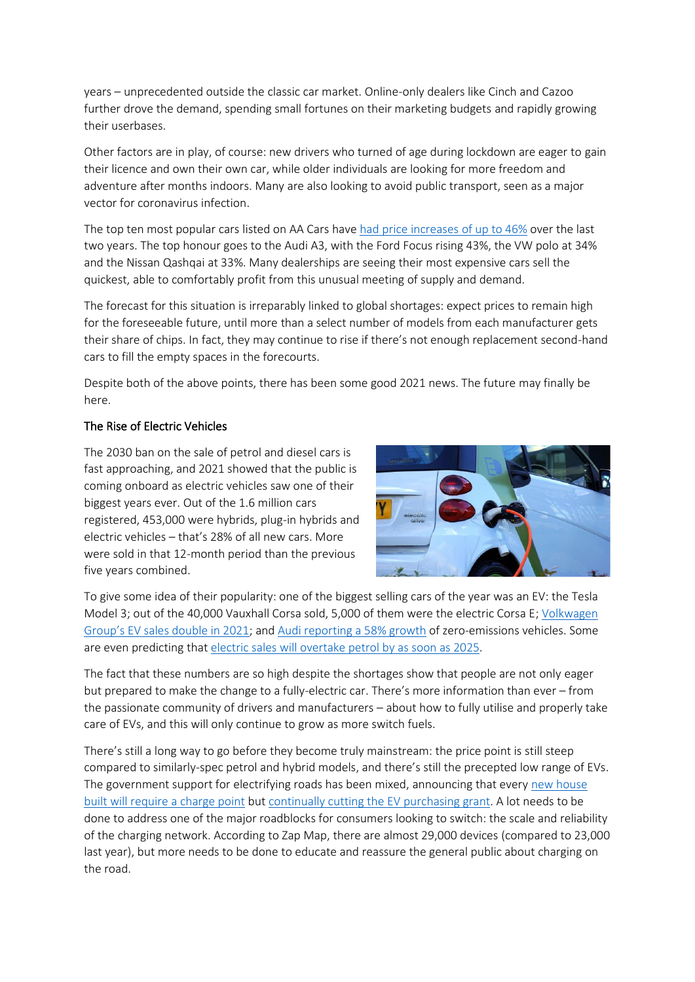years – unprecedented outside the classic car market. Online-only dealers like Cinch and Cazoo further drove the demand, spending small fortunes on their marketing budgets and rapidly growing their userbases.

Other factors are in play, of course: new drivers who turned of age during lockdown are eager to gain their licence and own their own car, while older individuals are looking for more freedom and adventure after months indoors. Many are also looking to avoid public transport, seen as a major vector for coronavirus infection.

The top ten most popular cars listed on AA Cars have [had price increases of up to 46%](https://www.bbc.co.uk/news/business-58993851) over the last two years. The top honour goes to the Audi A3, with the Ford Focus rising 43%, the VW polo at 34% and the Nissan Qashqai at 33%. Many dealerships are seeing their most expensive cars sell the quickest, able to comfortably profit from this unusual meeting of supply and demand.

The forecast for this situation is irreparably linked to global shortages: expect prices to remain high for the foreseeable future, until more than a select number of models from each manufacturer gets their share of chips. In fact, they may continue to rise if there's not enough replacement second-hand cars to fill the empty spaces in the forecourts.

Despite both of the above points, there has been some good 2021 news. The future may finally be here.

# The Rise of Electric Vehicles

The 2030 ban on the sale of petrol and diesel cars is fast approaching, and 2021 showed that the public is coming onboard as electric vehicles saw one of their biggest years ever. Out of the 1.6 million cars registered, 453,000 were hybrids, plug-in hybrids and electric vehicles – that's 28% of all new cars. More were sold in that 12-month period than the previous five years combined.



To give some idea of their popularity: one of the biggest selling cars of the year was an EV: the Tesla Model 3; out of the 40,000 Vauxhall Corsa sold, 5,000 of them were the electric Corsa E; [Volkwagen](https://www.autoexpress.co.uk/volkswagen/357085/volkswagen-group-ev-sales-double-2021-despite-global-chip-shortage)  [Group's EV sales double in 2021](https://www.autoexpress.co.uk/volkswagen/357085/volkswagen-group-ev-sales-double-2021-despite-global-chip-shortage); and [Audi reporting a](https://www.autocar.co.uk/car-news/business-dealership%2C-sales-and-marketing/audi-sales-fall-slightly-evs-score-success) 58% growth of zero-emissions vehicles. Some are even predicting tha[t electric sales will overtake petrol by as soon as 2025.](https://electrek.co/2022/01/12/ev-sales-rising-ahead-of-schedule-in-eu-uk-predicted-to-overtake-gasoline-vehicles-by-2025/)

The fact that these numbers are so high despite the shortages show that people are not only eager but prepared to make the change to a fully-electric car. There's more information than ever – from the passionate community of drivers and manufacturers – about how to fully utilise and properly take care of EVs, and this will only continue to grow as more switch fuels.

There's still a long way to go before they become truly mainstream: the price point is still steep compared to similarly-spec petrol and hybrid models, and there's still the precepted low range of EVs. The government support for electrifying roads has been mixed, announcing that every [new house](https://www.which.co.uk/news/2021/11/new-homes-in-england-to-have-electric-car-chargers-by-law/)  [built will require a charge point](https://www.which.co.uk/news/2021/11/new-homes-in-england-to-have-electric-car-chargers-by-law/) but [continually cutting the EV purchasing grant.](https://www.theguardian.com/environment/2021/dec/15/uk-cuts-grants-for-electric-vehicles-for-second-time-in-a-year) A lot needs to be done to address one of the major roadblocks for consumers looking to switch: the scale and reliability of the charging network. According to Zap Map, there are almost 29,000 devices (compared to 23,000 last year), but more needs to be done to educate and reassure the general public about charging on the road.